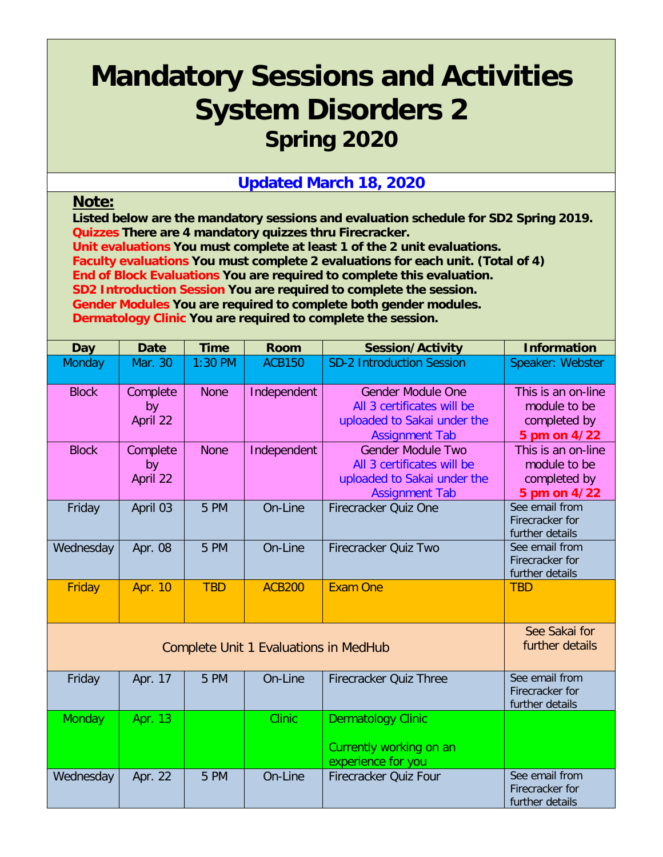## **Mandatory Sessions and Activities System Disorders 2 Spring 2020**

## **Updated March 18, 2020**

## **Note:**

**Listed below are the mandatory sessions and evaluation schedule for SD2 Spring 2019. Quizzes There are 4 mandatory quizzes thru Firecracker.** 

**Unit evaluations You must complete at least 1 of the 2 unit evaluations.**

**Faculty evaluations You must complete 2 evaluations for each unit. (Total of 4)**

**End of Block Evaluations You are required to complete this evaluation.**

**SD2 Introduction Session You are required to complete the session.**

**Gender Modules You are required to complete both gender modules.**

**Dermatology Clinic You are required to complete the session.**

| <b>Day</b>   | <b>Date</b>                | <b>Time</b> | <b>Room</b>                                  | <b>Session/Activity</b>                                                                                        | <b>Information</b>                                                 |
|--------------|----------------------------|-------------|----------------------------------------------|----------------------------------------------------------------------------------------------------------------|--------------------------------------------------------------------|
| Monday       | Mar. 30                    | $1:30$ PM   | <b>ACB150</b>                                | <b>SD-2 Introduction Session</b>                                                                               | Speaker: Webster                                                   |
| <b>Block</b> | Complete<br>by<br>April 22 | <b>None</b> | Independent                                  | <b>Gender Module One</b><br>All 3 certificates will be<br>uploaded to Sakai under the<br><b>Assignment Tab</b> | This is an on-line<br>module to be<br>completed by<br>5 pm on 4/22 |
| <b>Block</b> | Complete<br>by<br>April 22 | <b>None</b> | Independent                                  | <b>Gender Module Two</b><br>All 3 certificates will be<br>uploaded to Sakai under the<br><b>Assignment Tab</b> | This is an on-line<br>module to be<br>completed by<br>5 pm on 4/22 |
| Friday       | April 03                   | 5 PM        | On-Line                                      | <b>Firecracker Quiz One</b>                                                                                    | See email from<br>Firecracker for<br>further details               |
| Wednesday    | Apr. 08                    | 5 PM        | On-Line                                      | Firecracker Quiz Two                                                                                           | See email from<br>Firecracker for<br>further details               |
| Friday       | <b>Apr. 10</b>             | <b>TBD</b>  | <b>ACB200</b>                                | <b>Exam One</b>                                                                                                | <b>TBD</b>                                                         |
|              |                            |             | <b>Complete Unit 1 Evaluations in MedHub</b> |                                                                                                                | See Sakai for<br>further details                                   |
| Friday       | Apr. 17                    | 5 PM        | On-Line                                      | <b>Firecracker Quiz Three</b>                                                                                  | See email from<br>Firecracker for<br>further details               |
| Monday       | Apr. 13                    |             | <b>Clinic</b>                                | <b>Dermatology Clinic</b><br>Currently working on an<br>experience for you                                     |                                                                    |
| Wednesday    | Apr. 22                    | 5 PM        | On-Line                                      | Firecracker Quiz Four                                                                                          | See email from<br>Firecracker for<br>further details               |